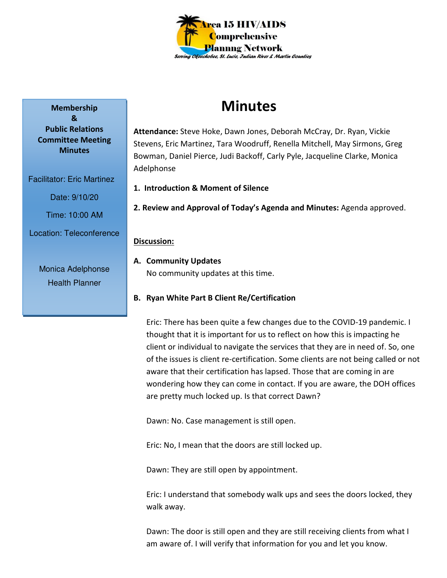

# **Minutes**

**Attendance:** Steve Hoke, Dawn Jones, Deborah McCray, Dr. Ryan, Vickie Stevens, Eric Martinez, Tara Woodruff, Renella Mitchell, May Sirmons, Greg Bowman, Daniel Pierce, Judi Backoff, Carly Pyle, Jacqueline Clarke, Monica Adelphonse

- **1. Introduction & Moment of Silence**
- **2. Review and Approval of Today's Agenda and Minutes:** Agenda approved.

## **Discussion:**

- **A. Community Updates**  No community updates at this time.
- **B. Ryan White Part B Client Re/Certification**

Eric: There has been quite a few changes due to the COVID-19 pandemic. I thought that it is important for us to reflect on how this is impacting he client or individual to navigate the services that they are in need of. So, one of the issues is client re-certification. Some clients are not being called or not aware that their certification has lapsed. Those that are coming in are wondering how they can come in contact. If you are aware, the DOH offices are pretty much locked up. Is that correct Dawn?

Dawn: No. Case management is still open.

Eric: No, I mean that the doors are still locked up.

Dawn: They are still open by appointment.

Eric: I understand that somebody walk ups and sees the doors locked, they walk away.

Dawn: The door is still open and they are still receiving clients from what I am aware of. I will verify that information for you and let you know.

**Membership & Public Relations Committee Meeting Minutes** 

Facilitator: Eric Martinez

Date: 9/10/20

Time: 10:00 AM

Location: Teleconference

Monica Adelphonse Health Planner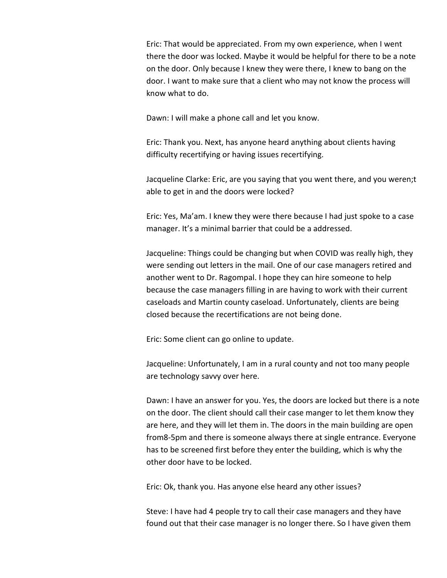Eric: That would be appreciated. From my own experience, when I went there the door was locked. Maybe it would be helpful for there to be a note on the door. Only because I knew they were there, I knew to bang on the door. I want to make sure that a client who may not know the process will know what to do.

Dawn: I will make a phone call and let you know.

Eric: Thank you. Next, has anyone heard anything about clients having difficulty recertifying or having issues recertifying.

Jacqueline Clarke: Eric, are you saying that you went there, and you weren;t able to get in and the doors were locked?

Eric: Yes, Ma'am. I knew they were there because I had just spoke to a case manager. It's a minimal barrier that could be a addressed.

Jacqueline: Things could be changing but when COVID was really high, they were sending out letters in the mail. One of our case managers retired and another went to Dr. Ragompal. I hope they can hire someone to help because the case managers filling in are having to work with their current caseloads and Martin county caseload. Unfortunately, clients are being closed because the recertifications are not being done.

Eric: Some client can go online to update.

Jacqueline: Unfortunately, I am in a rural county and not too many people are technology savvy over here.

Dawn: I have an answer for you. Yes, the doors are locked but there is a note on the door. The client should call their case manger to let them know they are here, and they will let them in. The doors in the main building are open from8-5pm and there is someone always there at single entrance. Everyone has to be screened first before they enter the building, which is why the other door have to be locked.

Eric: Ok, thank you. Has anyone else heard any other issues?

Steve: I have had 4 people try to call their case managers and they have found out that their case manager is no longer there. So I have given them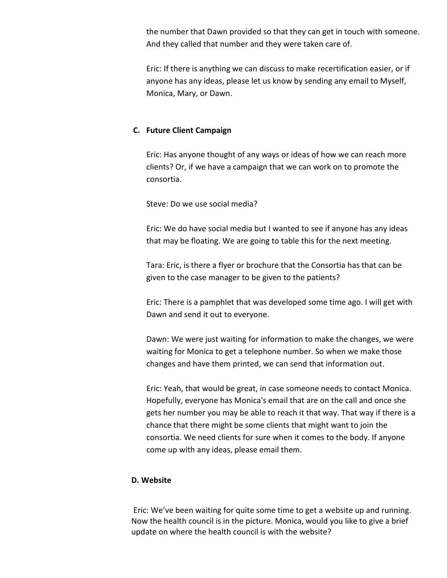the number that Dawn provided so that they can get in touch with someone. And they called that number and they were taken care of.

Eric: If there is anything we can discuss to make recertification easier, or if anyone has any ideas, please let us know by sending any email to Myself, Monica, Mary, or Dawn.

## **C. Future Client Campaign**

Eric: Has anyone thought of any ways or ideas of how we can reach more clients? Or, if we have a campaign that we can work on to promote the consortia.

Steve: Do we use social media?

Eric: We do have social media but I wanted to see if anyone has any ideas that may be floating. We are going to table this for the next meeting.

Tara: Eric, is there a flyer or brochure that the Consortia has that can be given to the case manager to be given to the patients?

Eric: There is a pamphlet that was developed some time ago. I will get with Dawn and send it out to everyone.

Dawn: We were just waiting for information to make the changes, we were waiting for Monica to get a telephone number. So when we make those changes and have them printed, we can send that information out.

Eric: Yeah, that would be great, in case someone needs to contact Monica. Hopefully, everyone has Monica's email that are on the call and once she gets her number you may be able to reach it that way. That way if there is a chance that there might be some clients that might want to join the consortia. We need clients for sure when it comes to the body. If anyone come up with any ideas, please email them.

#### **D. Website**

 Eric: We've been waiting for quite some time to get a website up and running. Now the health council is in the picture. Monica, would you like to give a brief update on where the health council is with the website?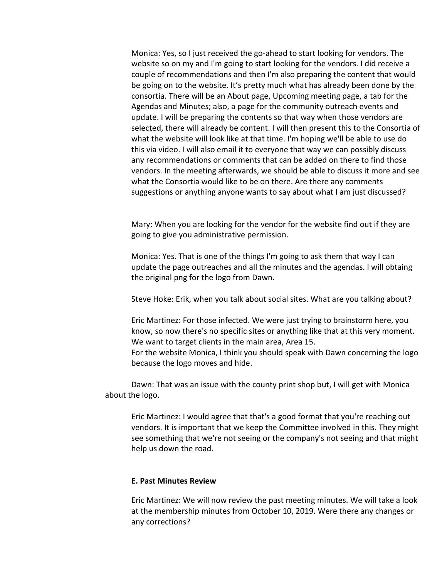Monica: Yes, so I just received the go-ahead to start looking for vendors. The website so on my and I'm going to start looking for the vendors. I did receive a couple of recommendations and then I'm also preparing the content that would be going on to the website. It's pretty much what has already been done by the consortia. There will be an About page, Upcoming meeting page, a tab for the Agendas and Minutes; also, a page for the community outreach events and update. I will be preparing the contents so that way when those vendors are selected, there will already be content. I will then present this to the Consortia of what the website will look like at that time. I'm hoping we'll be able to use do this via video. I will also email it to everyone that way we can possibly discuss any recommendations or comments that can be added on there to find those vendors. In the meeting afterwards, we should be able to discuss it more and see what the Consortia would like to be on there. Are there any comments suggestions or anything anyone wants to say about what I am just discussed?

Mary: When you are looking for the vendor for the website find out if they are going to give you administrative permission.

Monica: Yes. That is one of the things I'm going to ask them that way I can update the page outreaches and all the minutes and the agendas. I will obtaing the original png for the logo from Dawn.

Steve Hoke: Erik, when you talk about social sites. What are you talking about?

Eric Martinez: For those infected. We were just trying to brainstorm here, you know, so now there's no specific sites or anything like that at this very moment. We want to target clients in the main area, Area 15.

For the website Monica, I think you should speak with Dawn concerning the logo because the logo moves and hide.

 Dawn: That was an issue with the county print shop but, I will get with Monica about the logo.

Eric Martinez: I would agree that that's a good format that you're reaching out vendors. It is important that we keep the Committee involved in this. They might see something that we're not seeing or the company's not seeing and that might help us down the road.

## **E. Past Minutes Review**

Eric Martinez: We will now review the past meeting minutes. We will take a look at the membership minutes from October 10, 2019. Were there any changes or any corrections?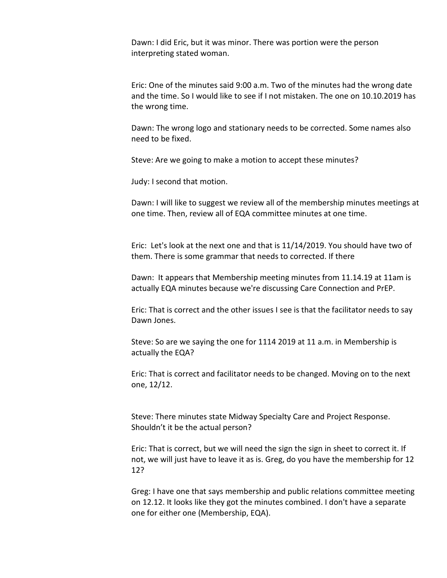Dawn: I did Eric, but it was minor. There was portion were the person interpreting stated woman.

Eric: One of the minutes said 9:00 a.m. Two of the minutes had the wrong date and the time. So I would like to see if I not mistaken. The one on 10.10.2019 has the wrong time.

Dawn: The wrong logo and stationary needs to be corrected. Some names also need to be fixed.

Steve: Are we going to make a motion to accept these minutes?

Judy: I second that motion.

Dawn: I will like to suggest we review all of the membership minutes meetings at one time. Then, review all of EQA committee minutes at one time.

Eric: Let's look at the next one and that is 11/14/2019. You should have two of them. There is some grammar that needs to corrected. If there

Dawn: It appears that Membership meeting minutes from 11.14.19 at 11am is actually EQA minutes because we're discussing Care Connection and PrEP.

Eric: That is correct and the other issues I see is that the facilitator needs to say Dawn Jones.

Steve: So are we saying the one for 1114 2019 at 11 a.m. in Membership is actually the EQA?

Eric: That is correct and facilitator needs to be changed. Moving on to the next one, 12/12.

Steve: There minutes state Midway Specialty Care and Project Response. Shouldn't it be the actual person?

Eric: That is correct, but we will need the sign the sign in sheet to correct it. If not, we will just have to leave it as is. Greg, do you have the membership for 12 12?

Greg: I have one that says membership and public relations committee meeting on 12.12. It looks like they got the minutes combined. I don't have a separate one for either one (Membership, EQA).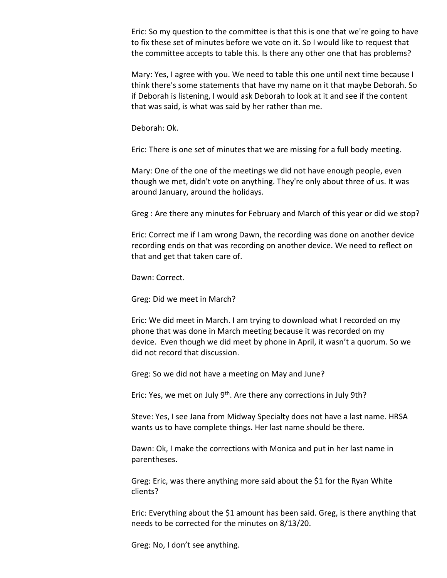Eric: So my question to the committee is that this is one that we're going to have to fix these set of minutes before we vote on it. So I would like to request that the committee accepts to table this. Is there any other one that has problems?

Mary: Yes, I agree with you. We need to table this one until next time because I think there's some statements that have my name on it that maybe Deborah. So if Deborah is listening, I would ask Deborah to look at it and see if the content that was said, is what was said by her rather than me.

Deborah: Ok.

Eric: There is one set of minutes that we are missing for a full body meeting.

Mary: One of the one of the meetings we did not have enough people, even though we met, didn't vote on anything. They're only about three of us. It was around January, around the holidays.

Greg : Are there any minutes for February and March of this year or did we stop?

Eric: Correct me if I am wrong Dawn, the recording was done on another device recording ends on that was recording on another device. We need to reflect on that and get that taken care of.

Dawn: Correct.

Greg: Did we meet in March?

Eric: We did meet in March. I am trying to download what I recorded on my phone that was done in March meeting because it was recorded on my device. Even though we did meet by phone in April, it wasn't a quorum. So we did not record that discussion.

Greg: So we did not have a meeting on May and June?

Eric: Yes, we met on July 9<sup>th</sup>. Are there any corrections in July 9th?

Steve: Yes, I see Jana from Midway Specialty does not have a last name. HRSA wants us to have complete things. Her last name should be there.

Dawn: Ok, I make the corrections with Monica and put in her last name in parentheses.

Greg: Eric, was there anything more said about the \$1 for the Ryan White clients?

Eric: Everything about the \$1 amount has been said. Greg, is there anything that needs to be corrected for the minutes on 8/13/20.

Greg: No, I don't see anything.